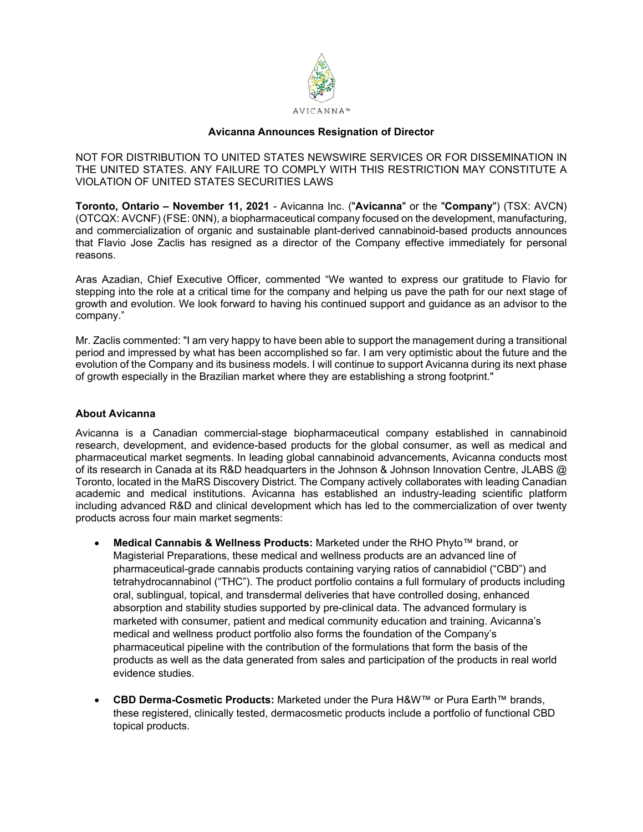

## **Avicanna Announces Resignation of Director**

NOT FOR DISTRIBUTION TO UNITED STATES NEWSWIRE SERVICES OR FOR DISSEMINATION IN THE UNITED STATES. ANY FAILURE TO COMPLY WITH THIS RESTRICTION MAY CONSTITUTE A VIOLATION OF UNITED STATES SECURITIES LAWS

**Toronto, Ontario – November 11, 2021** - Avicanna Inc. ("**Avicanna**" or the "**Company**") (TSX: AVCN) (OTCQX: AVCNF) (FSE: 0NN), a biopharmaceutical company focused on the development, manufacturing, and commercialization of organic and sustainable plant-derived cannabinoid-based products announces that Flavio Jose Zaclis has resigned as a director of the Company effective immediately for personal reasons.

Aras Azadian, Chief Executive Officer, commented "We wanted to express our gratitude to Flavio for stepping into the role at a critical time for the company and helping us pave the path for our next stage of growth and evolution. We look forward to having his continued support and guidance as an advisor to the company."

Mr. Zaclis commented: "I am very happy to have been able to support the management during a transitional period and impressed by what has been accomplished so far. I am very optimistic about the future and the evolution of the Company and its business models. I will continue to support Avicanna during its next phase of growth especially in the Brazilian market where they are establishing a strong footprint."

## **About Avicanna**

Avicanna is a Canadian commercial-stage biopharmaceutical company established in cannabinoid research, development, and evidence-based products for the global consumer, as well as medical and pharmaceutical market segments. In leading global cannabinoid advancements, Avicanna conducts most of its research in Canada at its R&D headquarters in the Johnson & Johnson Innovation Centre, JLABS @ Toronto, located in the MaRS Discovery District. The Company actively collaborates with leading Canadian academic and medical institutions. Avicanna has established an industry-leading scientific platform including advanced R&D and clinical development which has led to the commercialization of over twenty products across four main market segments:

- **Medical Cannabis & Wellness Products:** Marketed under the RHO Phyto™ brand, or Magisterial Preparations, these medical and wellness products are an advanced line of pharmaceutical-grade cannabis products containing varying ratios of cannabidiol ("CBD") and tetrahydrocannabinol ("THC"). The product portfolio contains a full formulary of products including oral, sublingual, topical, and transdermal deliveries that have controlled dosing, enhanced absorption and stability studies supported by pre-clinical data. The advanced formulary is marketed with consumer, patient and medical community education and training. Avicanna's medical and wellness product portfolio also forms the foundation of the Company's pharmaceutical pipeline with the contribution of the formulations that form the basis of the products as well as the data generated from sales and participation of the products in real world evidence studies.
- **CBD Derma-Cosmetic Products:** Marketed under the Pura H&W™ or Pura Earth™ brands, these registered, clinically tested, dermacosmetic products include a portfolio of functional CBD topical products.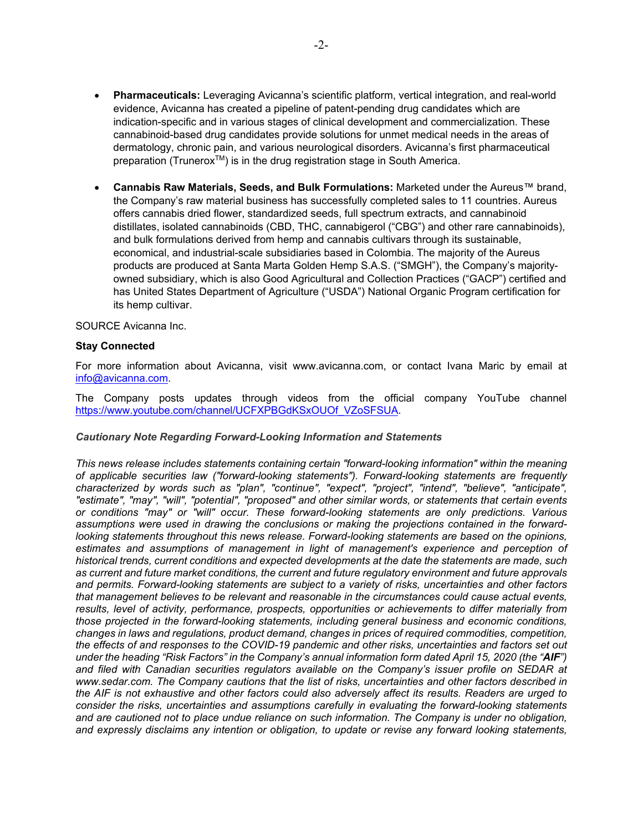- **Pharmaceuticals:** Leveraging Avicanna's scientific platform, vertical integration, and real-world evidence, Avicanna has created a pipeline of patent-pending drug candidates which are indication-specific and in various stages of clinical development and commercialization. These cannabinoid-based drug candidates provide solutions for unmet medical needs in the areas of dermatology, chronic pain, and various neurological disorders. Avicanna's first pharmaceutical preparation (Trunerox<sup>™</sup>) is in the drug registration stage in South America.
- **Cannabis Raw Materials, Seeds, and Bulk Formulations:** Marketed under the Aureus™ brand, the Company's raw material business has successfully completed sales to 11 countries. Aureus offers cannabis dried flower, standardized seeds, full spectrum extracts, and cannabinoid distillates, isolated cannabinoids (CBD, THC, cannabigerol ("CBG") and other rare cannabinoids), and bulk formulations derived from hemp and cannabis cultivars through its sustainable, economical, and industrial-scale subsidiaries based in Colombia. The majority of the Aureus products are produced at Santa Marta Golden Hemp S.A.S. ("SMGH"), the Company's majorityowned subsidiary, which is also Good Agricultural and Collection Practices ("GACP") certified and has United States Department of Agriculture ("USDA") National Organic Program certification for its hemp cultivar.

SOURCE Avicanna Inc.

## **Stay Connected**

For more information about Avicanna, visit www.avicanna.com, or contact Ivana Maric by email at [info@avicanna.com.](mailto:info@avicanna.com)

The Company posts updates through videos from the official company YouTube channel [https://www.youtube.com/channel/UCFXPBGdKSxOUOf\\_VZoSFSUA.](https://www.youtube.com/channel/UCFXPBGdKSxOUOf_VZoSFSUA)

## *Cautionary Note Regarding Forward-Looking Information and Statements*

*This news release includes statements containing certain "forward-looking information" within the meaning of applicable securities law ("forward-looking statements"). Forward-looking statements are frequently characterized by words such as "plan", "continue", "expect", "project", "intend", "believe", "anticipate", "estimate", "may", "will", "potential", "proposed" and other similar words, or statements that certain events or conditions "may" or "will" occur. These forward-looking statements are only predictions. Various assumptions were used in drawing the conclusions or making the projections contained in the forwardlooking statements throughout this news release. Forward-looking statements are based on the opinions, estimates and assumptions of management in light of management's experience and perception of historical trends, current conditions and expected developments at the date the statements are made, such as current and future market conditions, the current and future regulatory environment and future approvals and permits. Forward-looking statements are subject to a variety of risks, uncertainties and other factors that management believes to be relevant and reasonable in the circumstances could cause actual events, results, level of activity, performance, prospects, opportunities or achievements to differ materially from those projected in the forward-looking statements, including general business and economic conditions, changes in laws and regulations, product demand, changes in prices of required commodities, competition, the effects of and responses to the COVID-19 pandemic and other risks, uncertainties and factors set out under the heading "Risk Factors" in the Company's annual information form dated April 15, 2020 (the "AIF") and filed with Canadian securities regulators available on the Company's issuer profile on SEDAR at www.sedar.com. The Company cautions that the list of risks, uncertainties and other factors described in the AIF is not exhaustive and other factors could also adversely affect its results. Readers are urged to consider the risks, uncertainties and assumptions carefully in evaluating the forward-looking statements and are cautioned not to place undue reliance on such information. The Company is under no obligation, and expressly disclaims any intention or obligation, to update or revise any forward looking statements,*